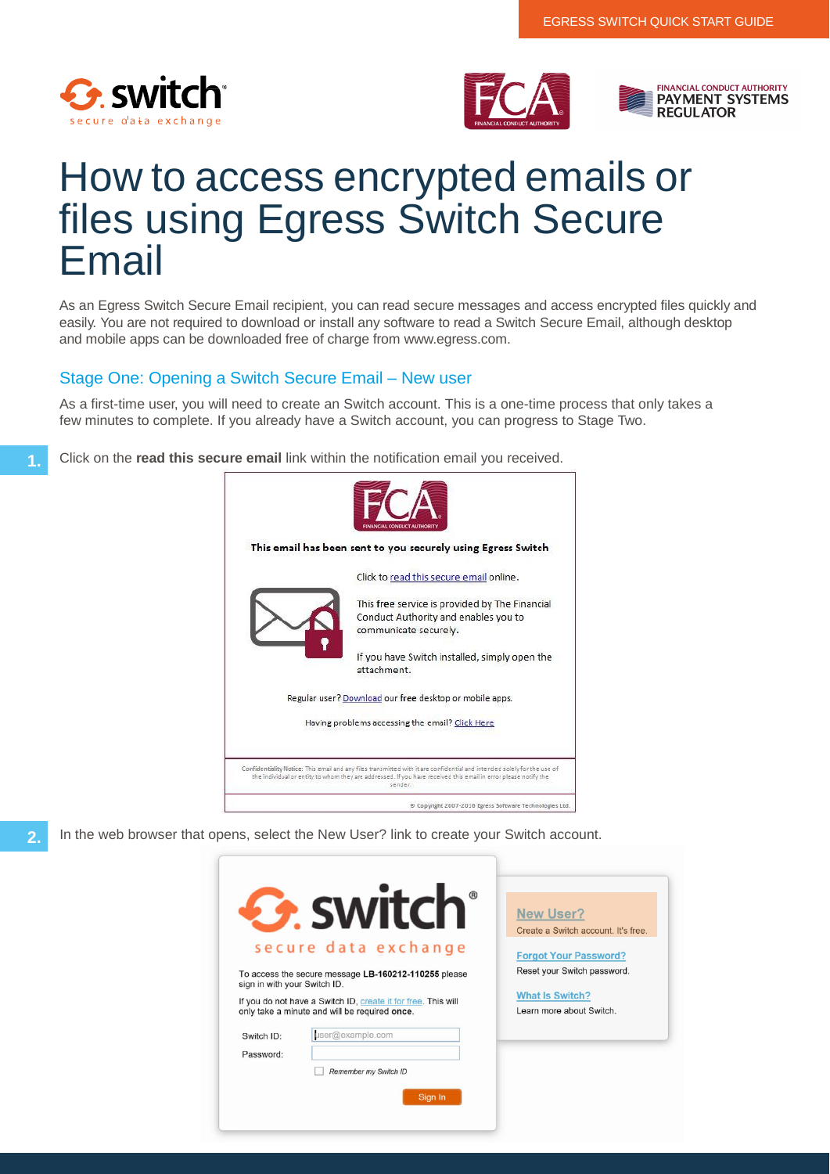



# How to access encrypted emails or files using Egress Switch Secure Email

As an Egress Switch Secure Email recipient, you can read secure messages and access encrypted files quickly and easily. You are not required to download or install any software to read a Switch Secure Email, although desktop and mobile apps can be downloaded free of charge from www.egress.com.

## Stage One: Opening a Switch Secure Email – New user

As a first-time user, you will need to create an Switch account. This is a one-time process that only takes a few minutes to complete. If you already have a Switch account, you can progress to Stage Two.

**1.** Click on the **read this secure email** link within the notification email you received.



**2.** In the web browser that opens, select the New User? link to create your Switch account.

| <b>G.</b> switch                                                                                               | <b>New User?</b><br>Create a Switch account. It's free. |
|----------------------------------------------------------------------------------------------------------------|---------------------------------------------------------|
| secure data exchange                                                                                           | <b>Forgot Your Password?</b>                            |
| To access the secure message LB-160212-110255 please<br>sign in with your Switch ID.                           | Reset your Switch password.                             |
| If you do not have a Switch ID, create it for free. This will<br>only take a minute and will be required once. | <b>What Is Switch?</b><br>Learn more about Switch.      |
| user@example.com<br>Switch ID:                                                                                 |                                                         |
| Password:                                                                                                      |                                                         |
| Remember my Switch ID                                                                                          |                                                         |
| Sign In                                                                                                        |                                                         |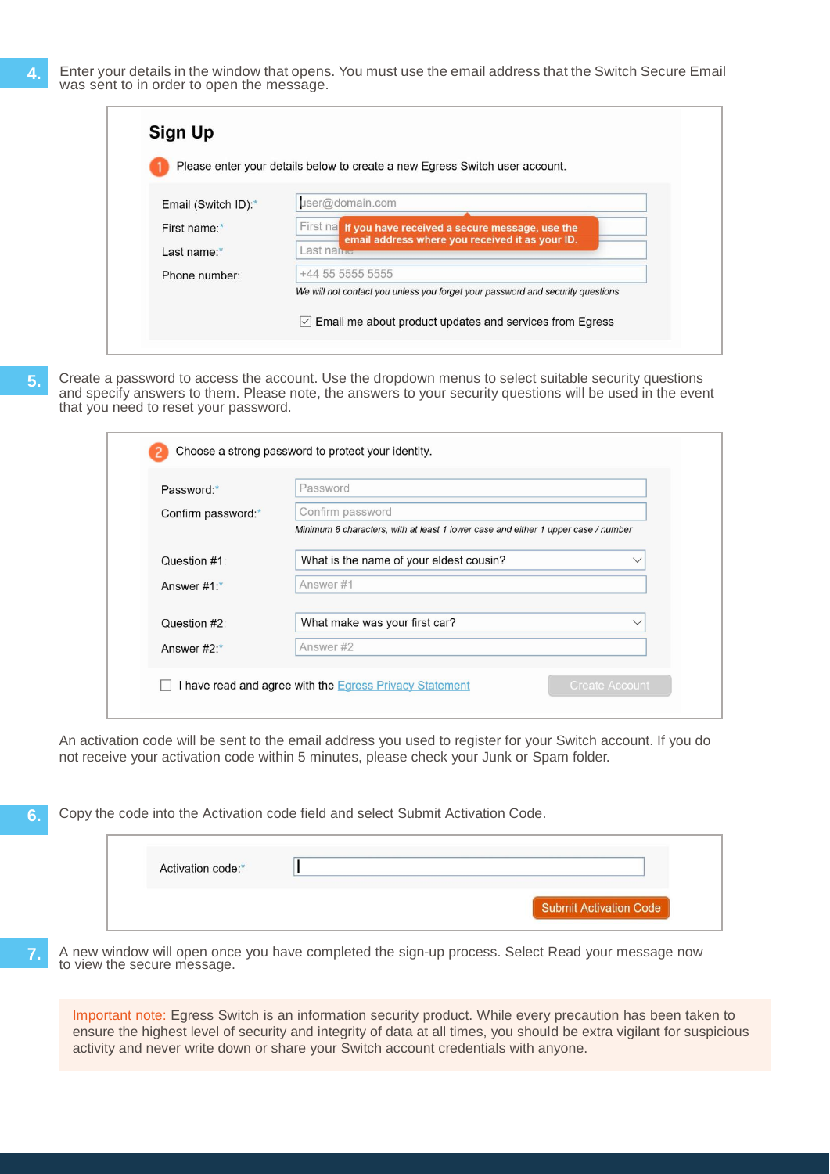|                     | Please enter your details below to create a new Egress Switch user account.                                 |
|---------------------|-------------------------------------------------------------------------------------------------------------|
|                     |                                                                                                             |
| Email (Switch ID):* | user@domain.com                                                                                             |
| First name:*        | First nat If you have received a secure message, use the<br>email address where you received it as your ID. |
| Last name:*         | Last name                                                                                                   |
| Phone number:       | +44 55 5555 5555                                                                                            |
|                     | We will not contact you unless you forget your password and security questions                              |

**5.** Create a password to access the account. Use the dropdown menus to select suitable security questions and specify answers to them. Please note, the answers to your security questions will be used in the event that you need to reset your password.

| Password:*         | Password                                                                          |             |
|--------------------|-----------------------------------------------------------------------------------|-------------|
| Confirm password:* | Confirm password                                                                  |             |
|                    | Minimum 8 characters, with at least 1 lower case and either 1 upper case / number |             |
| Question #1:       | What is the name of your eldest cousin?                                           |             |
| Answer #1:*        | Answer #1                                                                         |             |
| Question #2:       | What make was your first car?                                                     | $\check{ }$ |
| Answer #2:*        | Answer#2                                                                          |             |

An activation code will be sent to the email address you used to register for your Switch account. If you do not receive your activation code within 5 minutes, please check your Junk or Spam folder.

**6.** Copy the code into the Activation code field and select Submit Activation Code.

| Activation code:* |                        |
|-------------------|------------------------|
|                   | Submit Activation Code |

**7.** A new window will open once you have completed the sign-up process. Select Read your message now to view the secure message.

Important note: Egress Switch is an information security product. While every precaution has been taken to ensure the highest level of security and integrity of data at all times, you should be extra vigilant for suspicious activity and never write down or share your Switch account credentials with anyone.